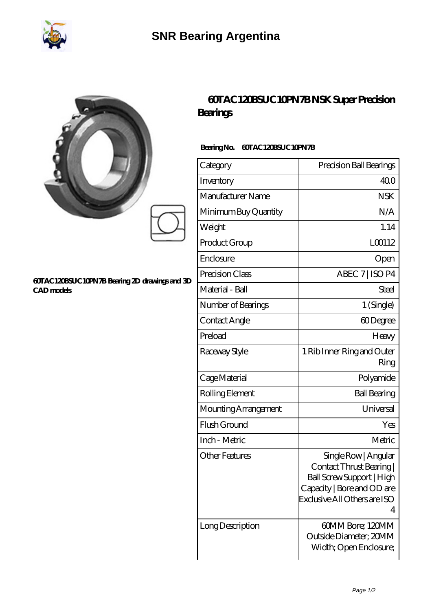

## **[SNR Bearing Argentina](https://www.seolpo-web.net)**

|                                                                    | <b>Bearings</b>                         | <b>60TAC120BSUC10PN7BNSK Super Precision</b> |
|--------------------------------------------------------------------|-----------------------------------------|----------------------------------------------|
|                                                                    | BearingNo.<br><b>60TAC120BSUC10PN7B</b> |                                              |
|                                                                    | Category                                | Precision Ball Bearings                      |
|                                                                    | Inventory                               | 400                                          |
|                                                                    | Manufacturer Name                       | <b>NSK</b>                                   |
|                                                                    | Minimum Buy Quantity                    | N/A                                          |
|                                                                    | Weight                                  | 1.14                                         |
|                                                                    | Product Group                           | LO0112                                       |
|                                                                    | Enclosure                               | Open                                         |
| 60TAC120BSUC10PN7B Bearing 2D drawings and 3D<br><b>CAD</b> models | Precision Class                         | ABEC 7   ISO P4                              |
|                                                                    | Material - Ball                         | <b>Steel</b>                                 |
|                                                                    | Number of Bearings                      | 1 (Single)                                   |
|                                                                    | Contact Angle                           | 60Degree                                     |
|                                                                    | Preload                                 | Heavy                                        |
|                                                                    | Raceway Style                           | 1 Rib Inner Ring and Outer<br>Ring           |
|                                                                    | Cage Material                           | Polyamide                                    |
|                                                                    | Rolling Element                         | <b>Ball Bearing</b>                          |
|                                                                    | Mounting Arrangement                    | Universal                                    |
|                                                                    | Flush Ground                            | Yes                                          |
|                                                                    | Inch - Metric                           | Metric                                       |
|                                                                    | <b>Other Features</b>                   | Single Row   Angular                         |

4

Contact Thrust Bearing | Ball Screw Support | High Capacity | Bore and OD are Exclusive All Others are ISO

Outside Diameter; 20MM Width; Open Enclosure;

Long Description  $\vert$  60MM Bore; 120MM